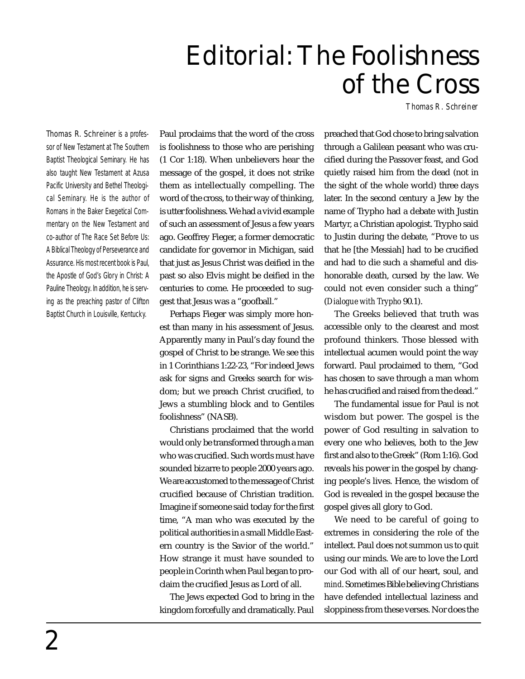## Editorial: The Foolishness of the Cross

*Thomas R. Schreiner*

Thomas R. Schreiner is a professor of New Testament at The Southern Baptist Theological Seminary. He has also taught New Testament at Azusa Pacific University and Bethel Theological Seminary. He is the author of *Romans* in the Baker Exegetical Commentary on the New Testament and co-author of *The Race Set Before Us: A Biblical Theology of Perseverance and Assurance*. His most recent book is *Paul, the Apostle of God's Glory in Christ: A Pauline Theology*. In addition, he is serving as the preaching pastor of Clifton Baptist Church in Louisville, Kentucky.

Paul proclaims that the word of the cross is foolishness to those who are perishing (1 Cor 1:18). When unbelievers hear the message of the gospel, it does not strike them as intellectually compelling. The word of the cross, to their way of thinking, is utter foolishness. We had a vivid example of such an assessment of Jesus a few years ago. Geoffrey Fieger, a former democratic candidate for governor in Michigan, said that just as Jesus Christ was deified in the past so also Elvis might be deified in the centuries to come. He proceeded to suggest that Jesus was a "goofball."

Perhaps Fieger was simply more honest than many in his assessment of Jesus. Apparently many in Paul's day found the gospel of Christ to be strange. We see this in 1 Corinthians 1:22-23, "For indeed Jews ask for signs and Greeks search for wisdom; but we preach Christ crucified, to Jews a stumbling block and to Gentiles foolishness" (NASB).

Christians proclaimed that the world would only be transformed through a man who was crucified. Such words must have sounded bizarre to people 2000 years ago. We are accustomed to the message of Christ crucified because of Christian tradition. Imagine if someone said today for the first time, "A man who was executed by the political authorities in a small Middle Eastern country is the Savior of the world." How strange it must have sounded to people in Corinth when Paul began to proclaim the crucified Jesus as Lord of all.

The Jews expected God to bring in the kingdom forcefully and dramatically. Paul

preached that God chose to bring salvation through a Galilean peasant who was crucified during the Passover feast, and God quietly raised him from the dead (not in the sight of the whole world) three days later. In the second century a Jew by the name of Trypho had a debate with Justin Martyr, a Christian apologist. Trypho said to Justin during the debate, "Prove to us that he [the Messiah] had to be crucified and had to die such a shameful and dishonorable death, cursed by the law. We could not even consider such a thing" (*Dialogue with Trypho* 90.1).

The Greeks believed that truth was accessible only to the clearest and most profound thinkers. Those blessed with intellectual acumen would point the way forward. Paul proclaimed to them, "God has chosen to save through a man whom he has crucified and raised from the dead."

The fundamental issue for Paul is not wisdom but power. The gospel is the power of God resulting in salvation to every one who believes, both to the Jew first and also to the Greek" (Rom 1:16). God reveals his power in the gospel by changing people's lives. Hence, the wisdom of God is revealed in the gospel because the gospel gives all glory to God.

We need to be careful of going to extremes in considering the role of the intellect. Paul does not summon us to quit using our minds. We are to love the Lord our God with all of our heart, soul, and *mind*. Sometimes Bible believing Christians have defended intellectual laziness and sloppiness from these verses. Nor does the